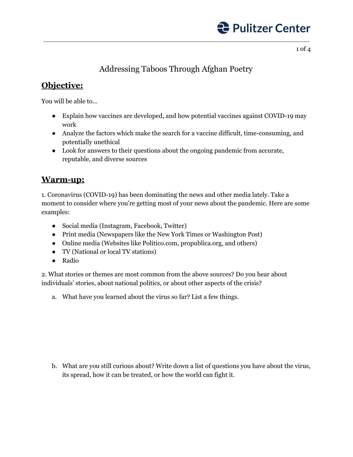

### Addressing Taboos Through Afghan Poetry

#### **Objective:**

You will be able to…

- Explain how vaccines are developed, and how potential vaccines against COVID-19 may work
- Analyze the factors which make the search for a vaccine difficult, time-consuming, and potentially unethical
- Look for answers to their questions about the ongoing pandemic from accurate, reputable, and diverse sources

#### **Warm-up:**

1. Coronavirus (COVID-19) has been dominating the news and other media lately. Take a moment to consider where you're getting most of your news about the pandemic. Here are some examples:

- Social media (Instagram, Facebook, Twitter)
- Print media (Newspapers like the New York Times or Washington Post)
- Online media (Websites like Politico.com, propublica.org, and others)
- TV (National or local TV stations)
- Radio

2. What stories or themes are most common from the above sources? Do you hear about individuals' stories, about national politics, or about other aspects of the crisis?

a. What have you learned about the virus so far? List a few things.

b. What are you still curious about? Write down a list of questions you have about the virus, its spread, how it can be treated, or how the world can fight it.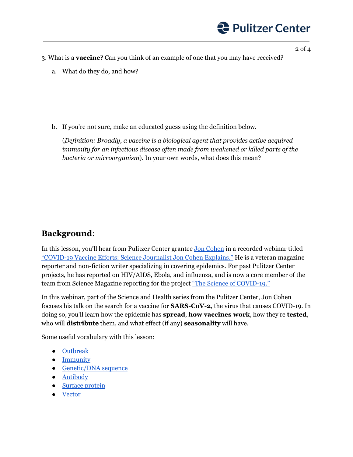

- 3. What is a **vaccine**? Can you think of an example of one that you may have received?
	- a. What do they do, and how?

b. If you're not sure, make an educated guess using the definition below.

(*Definition: Broadly, a vaccine is a biological agent that provides active acquired immunity for an infectious disease often made from weakened or killed parts of the bacteria or microorganism*). In your own words, what does this mean?

#### **Background**:

In this lesson, you'll hear from Pulitzer Center grantee **Jon [Cohen](https://pulitzercenter.org/people/jon-cohen)** in a recorded webinar titled ["COVID-19](https://pulitzercenter.org/blog/covid-19-vaccine-efforts-science-journalist-jon-cohen-explains) Vaccine Efforts: Science Journalist Jon Cohen Explains." He is a veteran magazine reporter and non-fiction writer specializing in covering epidemics. For past Pulitzer Center projects, he has reported on HIV/AIDS, Ebola, and influenza, and is now a core member of the team from Science Magazine reporting for the project "The Science of [COVID-19."](https://pulitzercenter.org/projects/science-covid-19)

In this webinar, part of the Science and Health series from the Pulitzer Center, Jon Cohen focuses his talk on the search for a vaccine for **SARS-CoV-2**, the virus that causes COVID-19. In doing so, you'll learn how the epidemic has **spread**, **how vaccines work**, how they're **tested**, who will **distribute** them, and what effect (if any) **seasonality** will have.

Some useful vocabulary with this lesson:

- [Outbreak](https://www.merriam-webster.com/dictionary/outbreak)
- [Immunity](https://www.merriam-webster.com/dictionary/immunity)
- [Genetic/DNA](https://www.britannica.com/science/DNA-sequencing) sequence
- **[Antibody](https://www.merriam-webster.com/dictionary/antibody)**
- [Surface](https://sciencing.com/definition-cell-surface-proteins-6340015.html) protein
- [Vector](https://www.merriam-webster.com/dictionary/vector)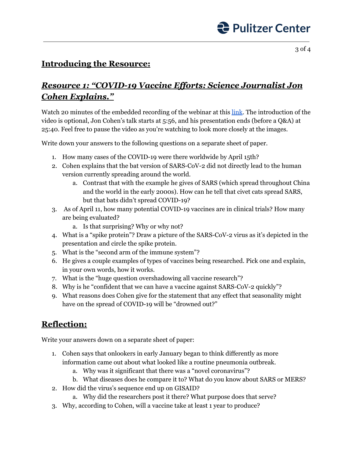

#### **Introducing the Resource:**

## *Resource 1: "COVID-19 Vaccine Ef orts: Science Journalist Jon Cohen Explains."*

Watch 20 minutes of the embedded recording of the webinar at this [link.](https://pulitzercenter.org/blog/covid-19-vaccine-efforts-science-journalist-jon-cohen-explains) The introduction of the video is optional, Jon Cohen's talk starts at 5:56, and his presentation ends (before a Q&A) at 25:40. Feel free to pause the video as you're watching to look more closely at the images.

Write down your answers to the following questions on a separate sheet of paper.

- 1. How many cases of the COVID-19 were there worldwide by April 15th?
- 2. Cohen explains that the bat version of SARS-CoV-2 did not directly lead to the human version currently spreading around the world.
	- a. Contrast that with the example he gives of SARS (which spread throughout China and the world in the early 2000s). How can he tell that civet cats spread SARS, but that bats didn't spread COVID-19?
- 3. As of April 11, how many potential COVID-19 vaccines are in clinical trials? How many are being evaluated?
	- a. Is that surprising? Why or why not?
- 4. What is a "spike protein"? Draw a picture of the SARS-CoV-2 virus as it's depicted in the presentation and circle the spike protein.
- 5. What is the "second arm of the immune system"?
- 6. He gives a couple examples of types of vaccines being researched. Pick one and explain, in your own words, how it works.
- 7. What is the "huge question overshadowing all vaccine research"?
- 8. Why is he "confident that we can have a vaccine against SARS-CoV-2 quickly"?
- 9. What reasons does Cohen give for the statement that any effect that seasonality might have on the spread of COVID-19 will be "drowned out?"

## **Reflection:**

Write your answers down on a separate sheet of paper:

- 1. Cohen says that onlookers in early January began to think differently as more information came out about what looked like a routine pneumonia outbreak.
	- a. Why was it significant that there was a "novel coronavirus"?
	- b. What diseases does he compare it to? What do you know about SARS or MERS?
- 2. How did the virus's sequence end up on GISAID?
	- a. Why did the researchers post it there? What purpose does that serve?
- 3. Why, according to Cohen, will a vaccine take at least 1 year to produce?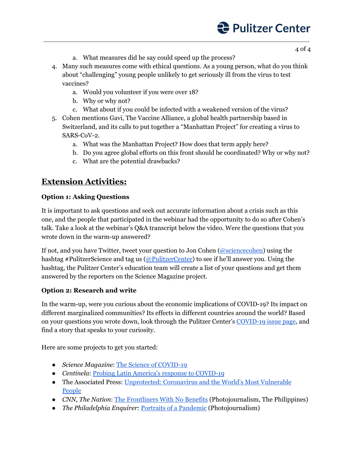# **C** Pulitzer Center

4 of 4

- a. What measures did he say could speed up the process?
- 4. Many such measures come with ethical questions. As a young person, what do you think about "challenging" young people unlikely to get seriously ill from the virus to test vaccines?
	- a. Would you volunteer if you were over 18?
	- b. Why or why not?
	- c. What about if you could be infected with a weakened version of the virus?
- 5. Cohen mentions Gavi, The Vaccine Alliance, a global health partnership based in Switzerland, and its calls to put together a "Manhattan Project" for creating a virus to SARS-CoV-2.
	- a. What was the Manhattan Project? How does that term apply here?
	- b. Do you agree global efforts on this front should be coordinated? Why or why not?
	- c. What are the potential drawbacks?

#### **Extension Activities:**

#### **Option 1: Asking Questions**

It is important to ask questions and seek out accurate information about a crisis such as this one, and the people that participated in the webinar had the opportunity to do so after Cohen's talk. Take a look at the webinar's Q&A transcript below the video. Were the questions that you wrote down in the warm-up answered?

If not, and you have Twitter, tweet your question to Jon Cohen ([@sciencecohen](https://twitter.com/sciencecohen?ref_src=twsrc%5Egoogle%7Ctwcamp%5Eserp%7Ctwgr%5Eauthor)) using the hashtag #PulitzerScience and tag us  $(QPulitzerCenter)$  to see if he'll answer you. Using the hashtag, the Pulitzer Center's education team will create a list of your questions and get them answered by the reporters on the Science Magazine project.

#### **Option 2: Research and write**

In the warm-up, were you curious about the economic implications of COVID-19? Its impact on different marginalized communities? Its effects in different countries around the world? Based on your questions you wrote down, look through the Pulitzer Center's [COVID-19](https://pulitzercenter.org/covid-19) issue page, and find a story that speaks to your curiosity.

Here are some projects to get you started:

- *Science Magazine*: The Science of [COVID-19](https://pulitzercenter.org/projects/science-covid-19)
- *Centinela: Probing Latin America's response to [COVID-19](https://pulitzercenter.org/projects/centinela-probing-latin-americas-response-covid-19)*
- The Associated Press: [Unprotected:](https://pulitzercenter.org/projects/unprotected-coronavirus-and-worlds-most-vulnerable-people) Coronavirus and the World's Most Vulnerable [People](https://pulitzercenter.org/projects/unprotected-coronavirus-and-worlds-most-vulnerable-people)
- *CNN, The Nation*: The [Frontliners](https://pulitzercenter.org/projects/frontliners-no-benefits) With No Benefits (Photojournalism, The Philippines)
- *The Philadelphia Enquirer*: Portraits of a [Pandemic](https://pulitzercenter.org/projects/portraits-pandemic) (Photojournalism)